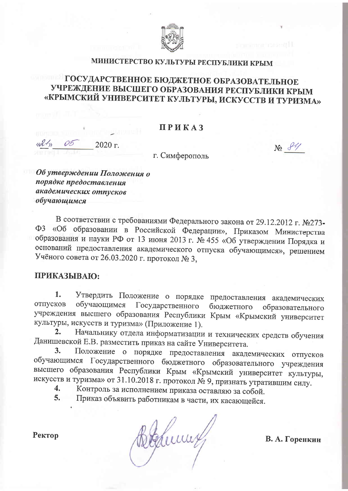

## МИНИСТЕРСТВО КУЛЬТУРЫ РЕСПУБЛИКИ КРЫМ

## ГОСУДАРСТВЕННОЕ БЮДЖЕТНОЕ ОБРАЗОВАТЕЛЬНОЕ УЧРЕЖДЕНИЕ ВЫСШЕГО ОБРАЗОВАНИЯ РЕСПУБЛИКИ КРЫМ «КРЫМСКИЙ УНИВЕРСИТЕТ КУЛЬТУРЫ, ИСКУССТВ И ТУРИЗМА»

### **ПРИКАЗ**

2020 г.

г. Симферополь

 $N_2$   $84$ 

Об утверждении Положения о порядке предоставления академических отпусков обучающимся

В соответствии с требованиями Федерального закона от 29.12.2012 г. №273-ФЗ «Об образовании в Российской Федерации», Приказом Министерства образования и науки РФ от 13 июня 2013 г. № 455 «Об утверждении Порядка и оснований предоставления академического отпуска обучающимся», решением Учёного совета от 26.03.2020 г. протокол № 3,

### ПРИКАЗЫВАЮ:

Утвердить Положение о порядке предоставления академических 1. обучающимся Государственного бюджетного образовательного отпусков учреждения высшего образования Республики Крым «Крымский университет культуры, искусств и туризма» (Приложение 1).

Начальнику отдела информатизации и технических средств обучения  $2.$ Данишевской Е.В. разместить приказ на сайте Университета.

Положение о порядке предоставления академических отпусков  $3<sub>1</sub>$ обучающимся Государственного бюджетного образовательного учреждения высшего образования Республики Крым «Крымский университет культуры, искусств и туризма» от 31.10.2018 г. протокол № 9, признать утратившим силу.

Контроль за исполнением приказа оставляю за собой. 4.

Приказ объявить работникам в части, их касающейся. 5.

Ректор

Behumy

В. А. Горенкин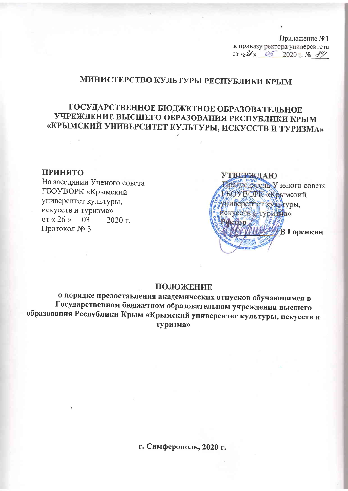Приложение №1 к приказу ректора университета or «*31*» 05 2020 r. No 84

## МИНИСТЕРСТВО КУЛЬТУРЫ РЕСПУБЛИКИ КРЫМ

## ГОСУДАРСТВЕННОЕ БЮДЖЕТНОЕ ОБРАЗОВАТЕЛЬНОЕ УЧРЕЖДЕНИЕ ВЫСШЕГО ОБРАЗОВАНИЯ РЕСПУБЛИКИ КРЫМ «КРЫМСКИЙ УНИВЕРСИТЕТ КУЛЬТУРЫ, ИСКУССТВ И ТУРИЗМА»

#### ПРИНЯТО

На заседании Ученого совета ГБОУВОРК «Крымский университет культуры, искусств и туризма» or  $\ll 26$  » 03  $2020$  r. Протокол № 3



#### ПОЛОЖЕНИЕ

о порядке предоставления академических отпусков обучающимся в Государственном бюджетном образовательном учреждении высшего образования Республики Крым «Крымский университет культуры, искусств и туризма»

г. Симферополь, 2020 г.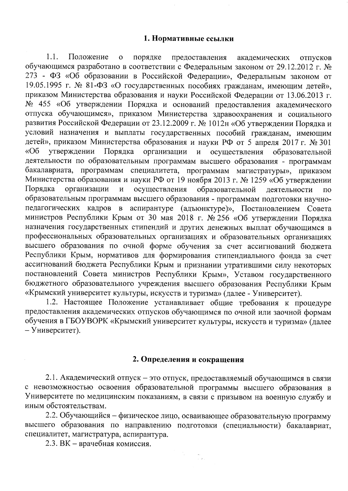$1.1.$ Положение порядке  $\mathbf{o}$ предоставления академических отпусков обучающимся разработано в соответствии с Федеральным законом от 29.12.2012 г. № 273 - ФЗ «Об образовании в Российской Федерации», Федеральным законом от 19.05.1995 г. № 81-ФЗ «О государственных пособиях гражданам, имеющим детей», приказом Министерства образования и науки Российской Федерации от 13.06.2013 г. № 455 «Об утверждении Порядка и оснований предоставления академического отпуска обучающимся», приказом Министерства здравоохранения и социального развития Российской Федерации от 23.12.2009 г. № 1012н «Об утверждении Порядка и условий назначения и выплаты государственных пособий гражданам, имеющим детей», приказом Министерства образования и науки РФ от 5 апреля 2017 г. № 301 утверждении Порядка организации и осуществления образовательной  $\kappa$ Oб деятельности по образовательным программам высшего образования - программам бакалавриата, программам специалитета, программам магистратуры», приказом Министерства образования и науки РФ от 19 ноября 2013 г. № 1259 «Об утверждении организации образовательной Порядка осуществления  $\mathbf{M}$ леятельности  $\overline{10}$ образовательным программам высшего образования - программам подготовки научнопедагогических кадров в аспирантуре (адъюнктуре)», Постановлением Совета министров Республики Крым от 30 мая 2018 г. № 256 «Об утверждении Порядка назначения государственных стипендий и других денежных выплат обучающимся в профессиональных образовательных организациях и образовательных организациях высшего образования по очной форме обучения за счет ассигнований бюджета Республики Крым, нормативов для формирования стипендиального фонда за счет ассигнований бюджета Республики Крым и признании утратившими силу некоторых постановлений Совета министров Республики Крым». Уставом государственного бюджетного образовательного учреждения высшего образования Республики Крым «Крымский университет культуры, искусств и туризма» (далее - Университет).

1.2. Настоящее Положение устанавливает общие требования к процедуре предоставления академических отпусков обучающимся по очной или заочной формам обучения в ГБОУВОРК «Крымский университет культуры, искусств и туризма» (далее - Университет).

#### 2. Определения и сокращения

2.1. Академический отпуск - это отпуск, предоставляемый обучающимся в связи с невозможностью освоения образовательной программы высшего образования в Университете по медицинским показаниям, в связи с призывом на военную службу и иным обстоятельствам.

2.2. Обучающийся - физическое лицо, осваивающее образовательную программу высшего образования по направлению подготовки (специальности) бакалавриат, специалитет, магистратура, аспирантура.

 $\begin{aligned} \mathcal{S}_{\text{max}}^{(1)}\left(\mathcal{S}_{\text{max}}^{(1)}\right) &=\mathcal{S}_{\text{max}}^{(2)}\\ &\mathcal{S}_{\text{max}}^{(2)}\left(\mathcal{S}_{\text{max}}^{(1)}\right) &=\mathcal{S}_{\text{max}}^{(2)}\left(\mathcal{S}_{\text{max}}^{(1)}\right) \end{aligned}$ 

2.3. ВК - врачебная комиссия.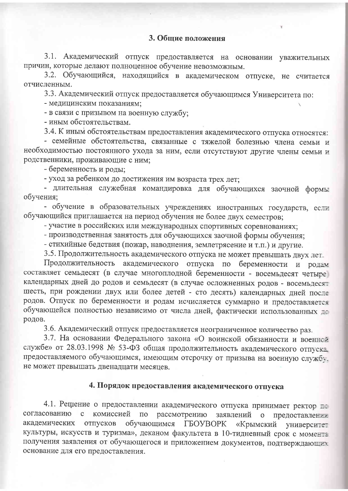#### 3. Общие положения

3.1. Академический отпуск предоставляется на основании уважительных причин, которые делают полноценное обучение невозможным.

3.2. Обучающийся, находящийся в академическом отпуске, не считается отчисленным.

3.3. Академический отпуск предоставляется обучающимся Университета по:

- медицинским показаниям;

- в связи с призывом на военную службу;

- иным обстоятельствам.

3.4. К иным обстоятельствам предоставления академического отпуска относятся:

- семейные обстоятельства, связанные с тяжелой болезнью члена семьи и необходимостью постоянного ухода за ним, если отсутствуют другие члены семьи и родственники, проживающие с ним;

- беременность и роды;

- уход за ребенком до достижения им возраста трех лет;

- длительная служебная командировка для обучающихся заочной формы обучения;

- обучение в образовательных учреждениях иностранных государств, если обучающийся приглашается на период обучения не более двух семестров;

- участие в российских или международных спортивных соревнованиях;

- производственная занятость для обучающихся заочной формы обучения;

- стихийные бедствия (пожар, наводнения, землетрясение и т.п.) и другие.

3.5. Продолжительность академического отпуска не может превышать двух лет.

Продолжительность академического отпуска по беременности и родам составляет семьдесят (в случае многоплодной беременности - восемьдесят четыре) календарных дней до родов и семьдесят (в случае осложненных родов - восемьдесят шесть, при рождении двух или более детей - сто десять) календарных дней после родов. Отпуск по беременности и родам исчисляется суммарно и предоставляется обучающейся полностью независимо от числа дней, фактически использованных де родов.

3.6. Академический отпуск предоставляется неограниченное количество раз.

3.7. На основании Федерального закона «О воинской обязанности и военной службе» от 28.03.1998 № 53-ФЗ общая продолжительность академического отпуска предоставляемого обучающимся, имеющим отсрочку от призыва на военную службу. не может превышать двенадцати месяцев.

#### 4. Порядок предоставления академического отпуска

4.1. Решение о предоставлении академического отпуска принимает ректор = согласованию комиссией  $\mathbf{C}$  $\Pi$ O рассмотрению заявлений о предоставлении академических отпусков обучающимся **TEOYBOPK** «Крымский университет культуры, искусств и туризма», деканом факультета в 10-тидневный срок с момента получения заявления от обучающегося и приложением документов, подтверждающие основание для его предоставления.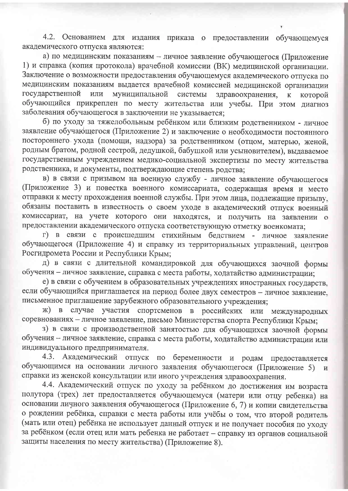4.2. Основанием для издания приказа о предоставлении обучающемуся академического отпуска являются:

а) по медицинским показаниям - личное заявление обучающегося (Приложение 1) и справка (копия протокола) врачебной комиссии (ВК) медицинской организации. Заключение о возможности предоставления обучающемуся академического отпуска по медицинским показаниям выдается врачебной комиссией медицинской организации государственной муниципальной ИЛИ системы здравоохранения.  $\overline{\mathbf{K}}$ которой обучающийся прикреплен по месту жительства или учебы. При этом диагноз заболевания обучающегося в заключении не указывается;

б) по уходу за тяжелобольным ребёнком или близким родственником - личное заявление обучающегося (Приложение 2) и заключение о необходимости постоянного постороннего ухода (помощи, надзора) за родственником (отцом, матерью, женой, родным братом, родной сестрой, дедушкой, бабушкой или усыновителем), выдаваемое государственным учреждением медико-социальной экспертизы по месту жительства родственника, и документы, подтверждающие степень родства;

в) в связи с призывом на военную службу - личное заявление обучающегося (Приложение 3) и повестка военного комиссариата, содержащая время и место отправки к месту прохождения военной службы. При этом лица, подлежащие призыву, обязаны поставить в известность о своем уходе в академический отпуск военный комиссариат, на учете которого они находятся, и получить на заявлении о предоставлении академического отпуска соответствующую отметку военкомата;

г) в связи с происшедшим стихийным бедствием - личное заявление обучающегося (Приложение 4) и справку из территориальных управлений, центров Росгидромета России и Республики Крым;

д) в связи с длительной командировкой для обучающихся заочной формы обучения - личное заявление, справка с места работы, ходатайство администрации:

е) в связи с обучением в образовательных учреждениях иностранных государств. если обучающийся приглашается на период более двух семестров - личное заявление, письменное приглашение зарубежного образовательного учреждения;

ж) в случае участия спортсменов в российских или международных соревнованиях - личное заявление, письмо Министерства спорта Республики Крым;

з) в связи с производственной занятостью для обучающихся заочной формы обучения - личное заявление, справка с места работы, ходатайство администрации или индивидуального предпринимателя.

4.3. Академический отпуск по беременности и родам предоставляется обучающимся на основании личного заявления обучающегося (Приложение 5)  $\overline{M}$ справки из женской консультации или иного учреждения здравоохранения.

4.4. Академический отпуск по уходу за ребёнком до достижения им возраста полутора (трех) лет предоставляется обучающемуся (матери или отцу ребенка) на основании личного заявления обучающегося (Приложение 6, 7) и копии свидетельства о рождении ребёнка, справки с места работы или учёбы о том, что второй родитель (мать или отец) ребёнка не использует данный отпуск и не получает пособия по уходу за ребёнком (если отец или мать ребенка не работает - справку из органов социальной защиты населения по месту жительства) (Приложение 8).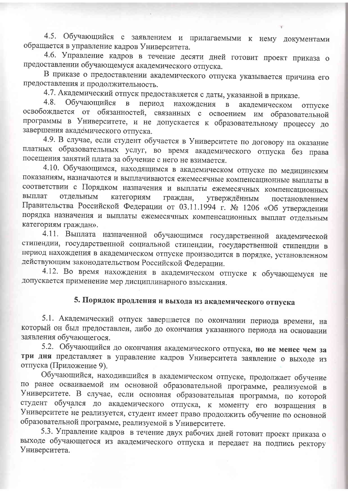4.5. Обучающийся с заявлением и прилагаемыми к нему документами обращается в управление кадров Университета.

4.6. Управление кадров в течение десяти дней готовит проект приказа о предоставлении обучающемуся академического отпуска.

В приказе о предоставлении академического отпуска указывается причина его предоставления и продолжительность.

4.7. Академический отпуск предоставляется с даты, указанной в приказе.

 $4.8.$ Обучающийся  $\mathbf{B}$ период нахождения академическом  $\mathbf{B}$ отпуске освобождается от обязанностей, связанных с освоением им образовательной программы в Университете, и не допускается к образовательному процессу до завершения академического отпуска.

4.9. В случае, если студент обучается в Университете по договору на оказание платных образовательных услуг, во время академического отпуска без права посещения занятий плата за обучение с него не взимается.

4.10. Обучающимся, находящимся в академическом отпуске по медицинским показаниям, назначаются и выплачиваются ежемесячные компенсационные выплаты в соответствии с Порядком назначения и выплаты ежемесячных компенсационных выплат отдельным категориям граждан, утверждённым постановлением Правительства Российской Федерации от 03.11.1994 г. № 1206 «Об утверждении порядка назначения и выплаты ежемесячных компенсационных выплат отдельным категориям граждан».

4.11. Выплата назначенной обучающимся государственной академической стипендии, государственной социальной стипендии, государственной стипендии в период нахождения в академическом отпуске производится в порядке, установленном действующим законодательством Российской Федерации.

4.12. Во время нахождения в академическом отпуске к обучающемуся не допускается применение мер дисциплинарного взыскания.

# 5. Порядок продления и выхода из академического отпуска

5.1. Академический отпуск завершается по окончании периода времени, на который он был предоставлен, либо до окончания указанного периода на основании заявления обучающегося.

5.2. Обучающийся до окончания академического отпуска, но не менее чем за три дня представляет в управление кадров Университета заявление о выходе из отпуска (Приложение 9).

Обучающийся, находившийся в академическом отпуске, продолжает обучение по ранее осваиваемой им основной образовательной программе, реализуемой в Университете. В случае, если основная образовательная программа, по которой студент обучался до академического отпуска, к моменту его возращения в Университете не реализуется, студент имеет право продолжить обучение по основной образовательной программе, реализуемой в Университете.

5.3. Управление кадров в течение двух рабочих дней готовит проект приказа о выходе обучающегося из академического отпуска и передает на подпись ректору Университета.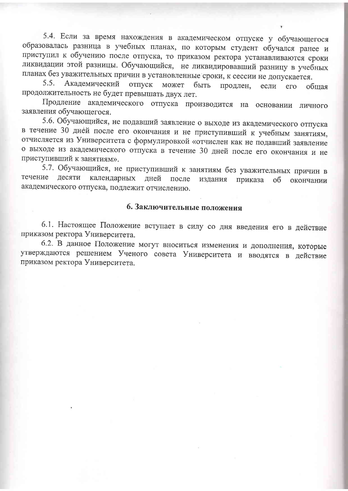5.4. Если за время нахождения в академическом отпуске у обучающегося образовалась разница в учебных планах, по которым студент обучался ранее и приступил к обучению после отпуска, то приказом ректора устанавливаются сроки ликвидации этой разницы. Обучающийся, не ликвидировавший разницу в учебных планах без уважительных причин в установленные сроки, к сессии не допускается.

 $5.5.$ Академический отпуск может быть продлен, если  $ero$ обшая продолжительность не будет превышать двух лет.

Продление академического отпуска производится на основании личного заявления обучающегося.

5.6. Обучающийся, не подавший заявление о выходе из академического отпуска в течение 30 дней после его окончания и не приступивший к учебным занятиям, отчисляется из Университета с формулировкой «отчислен как не подавший заявление о выходе из академического отпуска в течение 30 дней после его окончания и не приступивший к занятиям».

5.7. Обучающийся, не приступивший к занятиям без уважительных причин в течение десяти календарных дней после издания приказа об окончании академического отпуска, подлежит отчислению.

### 6. Заключительные положения

6.1. Настоящее Положение вступает в силу со дня введения его в действие приказом ректора Университета.

6.2. В данное Положение могут вноситься изменения и дополнения, которые утверждаются решением Ученого совета Университета и вводятся в действие приказом ректора Университета.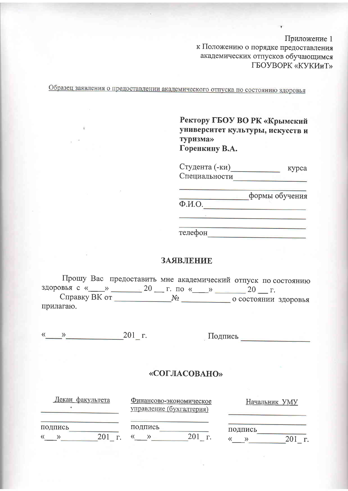Приложение 1 к Положению о порядке предоставления академических отпусков обучающимся ГБОУВОРК «КУКИиТ»

Образец заявления о предоставлении академического отпуска по состоянию здоровья

Ректору ГБОУ ВО РК «Крымский университет культуры, искусств и туризма» Горенкину В.А.

Студента (-ки) курса Специальности

формы обучения  $\overline{\Phi.M.O.}$ 

<u> 1980 - Johann Barn, mars et al. (b. 1980)</u>

телефон

#### ЗАЯВЛЕНИЕ

Прошу Вас предоставить мне академический отпуск по состоянию здоровья с « \_\_ » \_\_\_\_\_\_ 20 \_\_ г. по « \_\_ » \_\_\_\_\_ 20 \_\_ г. прилагаю.

 $\stackrel{\text{(N)}}{\longrightarrow}$  201 г.

Подпись по последник по последник

| Декан факультета | Финансово-экономическое<br>управление (бухгалтерия) | Начальник УМУ |
|------------------|-----------------------------------------------------|---------------|
| подпись          | подпись<br>г                                        | подпись       |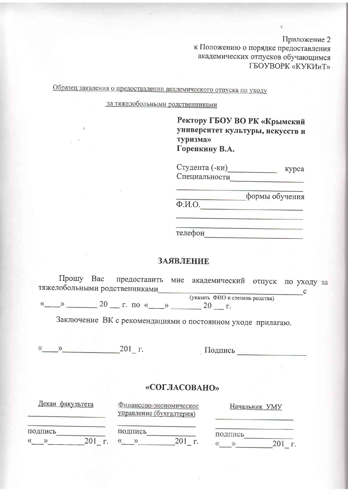Приложение 2 к Положению о порядке предоставления академических отпусков обучающимся ГБОУВОРК «КУКИиТ»

Образец заявления о предоставлении академического отпуска по уходу

за тяжелобольными родственниками

Ректору ГБОУ ВО РК «Крымский университет культуры, искусств и туризма» Горенкину В.А.

Студента (-ки) курса Специальности

формы обучения  $\overline{\Phi.M.O.}$ 

телефон

#### **ЗАЯВЛЕНИЕ**

 $\Pi$ po $\Pi$ y Bac предоставить мне академический отпуск по уходу за тяжелобольными родственниками  $\overline{\phantom{a}}$  c (указать ФИО и степень родства)

 $\frac{1}{20}$  20 T. To  $\frac{1}{20}$  T. To  $\frac{1}{20}$  T.

Заключение ВК с рекомендациями о постоянном уходе прилагаю.

 $\frac{1}{201}$  T.

| <u>декан факультета</u> | Финансово-экономическое<br>управление (бухгалтерия) | Начальник УМУ |
|-------------------------|-----------------------------------------------------|---------------|
| подпись<br>201          | подпись                                             | подпись<br>r. |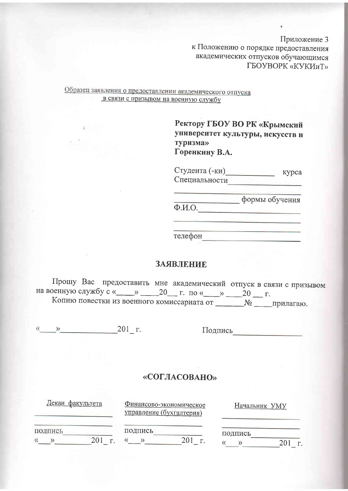Приложение 3 к Положению о порядке предоставления академических отпусков обучающимся ГБОУВОРК «КУКИиТ»

Образец заявления о предоставлении академического отпуска в связи с призывом на военную службу

> Ректору ГБОУ ВО РК «Крымский университет культуры, искусств и туризма» Горенкину В.А.

Студента (-ки) курса Специальности

формы обучения  $\overline{\Phi.M.O.}$ 

телефон

#### ЗАЯВЛЕНИЕ

Прошу Вас предоставить мне академический отпуск в связи с призывом на военную службу с «\_\_\_\_» \_\_\_\_20\_\_\_ г. по «\_\_\_\_» \_\_\_\_20 \_\_\_ г. Копию повестки из военного комиссариата от \_\_\_\_\_\_\_\_\_№ \_\_\_\_\_\_прилагаю.

 $\begin{array}{ccc} \hline \hline & \hline \hline & \hline \end{array}$  201<sub>-</sub> r.

| <u>Декан факультета</u> | Финансово-экономическое<br>управление (бухгалтерия) | Начальник УМУ |
|-------------------------|-----------------------------------------------------|---------------|
| подпись                 | подпись                                             | подпись       |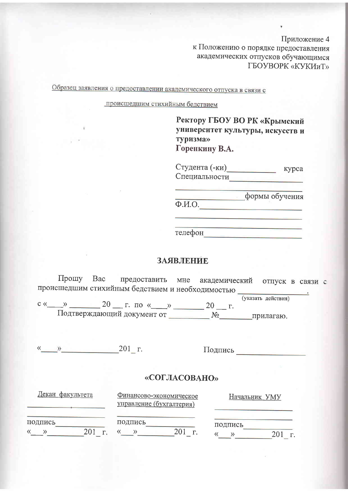Приложение 4 к Положению о порядке предоставления академических отпусков обучающимся ГБОУВОРК «КУКИиТ»

Образец заявления о предоставлении академического отпуска в связи с

происшедшим стихийным бедствием

Ректору ГБОУ ВО РК «Крымский университет культуры, искусств и туризма» Горенкину В.А.

Студента (-ки) курса Специальности

формы обучения  $\overline{\Phi.M.O.}$ 

<u> 1980 - Andrea Angel, amerikan bestean A</u>

телефон

#### ЗАЯВЛЕНИЕ

Прошу Вас предоставить мне академический отпуск в связи с происшедшим стихийным бедствием и необходимостью (указать действия)

 $c \ll \qquad \qquad$  20  $\qquad \qquad$  T.  $\pi$ o  $\qquad \qquad$   $\qquad \qquad$  20  $\qquad \qquad$  T. Подтверждающий документ от \_\_\_\_\_\_\_\_\_\_\_ №\_\_\_\_\_\_\_\_\_\_ прилагаю.

 $\begin{array}{c} \hline \text{W} & \text{W} \\ \hline \end{array}$  201  $\Gamma$ .

Подпись

| Декан факультета | Финансово-экономическое<br>управление (бухгалтерия) | Начальник УМУ |
|------------------|-----------------------------------------------------|---------------|
| подпись<br>巜     | подпись<br>r                                        | подпись       |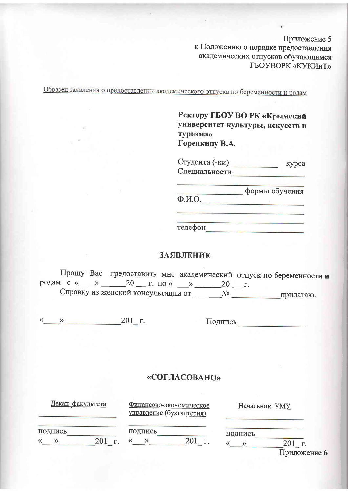Приложение 5 к Положению о порядке предоставления академических отпусков обучающимся ГБОУВОРК «КУКИиТ»

Образец заявления о предоставлении академического отпуска по беременности и родам

Ректору ГБОУ ВО РК «Крымский университет культуры, искусств и туризма» Горенкину В.А.

Студента (-ки) курса Специальности

формы обучения  $\overline{\Phi.M.O.}$ 

телефон

#### **ЗАЯВЛЕНИЕ**

Прошу Вас предоставить мне академический отпуск по беременности и родам с « $\_\_\_$  20  $\_\_$ г. по « $\_\_$  20  $\_\_$ г. 

 $\frac{1}{201}$  r.

Подпись

| Декан факультета            | Финансово-экономическое<br>управление (бухгалтерия) | Начальник УМУ           |
|-----------------------------|-----------------------------------------------------|-------------------------|
| подпись<br>$201$ $\Gamma$ . | подпись<br>201<br>$\Gamma$ .                        | подпись<br>Приложение ( |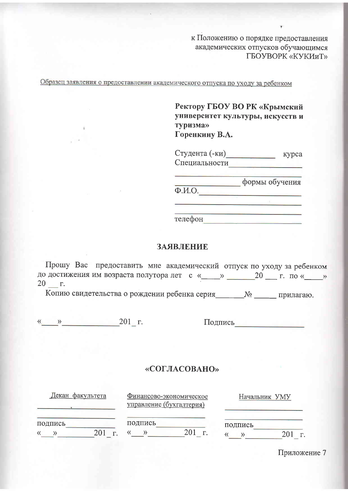к Положению о порядке предоставления академических отпусков обучающимся ГБОУВОРК «КУКИиТ»

Образец заявления о предоставлении академического отпуска по уходу за ребенком

Ректору ГБОУ ВО РК «Крымский университет культуры, искусств и **ТУРИЗМА»** Горенкину В.А.

Студента (-ки) курса Специальности

формы обучения  $\overline{\Phi M.O.}$ 

телефон

#### ЗАЯВЛЕНИЕ

Прошу Вас предоставить мне академический отпуск по уходу за ребенком до достижения им возраста полутора лет с «\_\_\_\_» \_\_\_\_\_\_\_20 \_\_\_ г. по «\_\_\_\_»  $20 - r$ .

Копию свидетельства о рождении ребенка серия\_\_\_\_\_\_\_\_№ \_\_\_\_\_\_\_ прилагаю.

 $\frac{1}{201}$  T.

Подпись

#### «СОГЛАСОВАНО»

Декан факультета

Финансово-экономическое управление (бухгалтерия)

Начальник УМУ

подпись

подпись « » 201 г. « » 201 г.

| подпись |     |  |
|---------|-----|--|
|         | 20. |  |

Приложение 7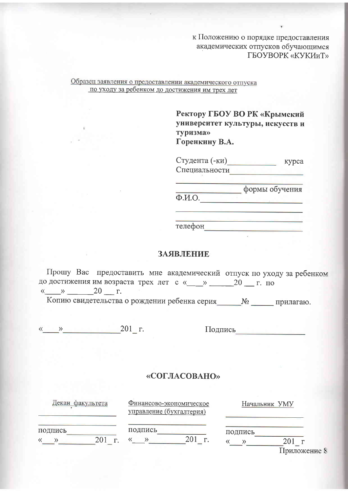к Положению о порядке предоставления академических отпусков обучающимся ГБОУВОРК «КУКИиТ»

#### Образец заявления о предоставлении академического отпуска по уходу за ребенком до достижения им трех лет

Ректору ГБОУ ВО РК «Крымский университет культуры, искусств и туризма» Горенкину В.А.

Студента (-ки) курса Специальности

формы обучения  $\overline{\Phi.M.O.}$ 

<u> 1989 - Jan James Barnett, amerikansk f</u>

телефон

#### ЗАЯВЛЕНИЕ

Прошу Вас предоставить мне академический отпуск по уходу за ребенком до достижения им возраста трех лет с «\_\_\_» \_\_\_\_\_20 \_\_ г. по  $\leftarrow \rightarrow$  20  $\Gamma$ .

Копию свидетельства о рождении ребенка серия\_\_\_\_\_\_№ \_\_\_\_\_\_ прилагаю.

 $\frac{1}{201}$  T.

Подпись

## «СОГЛАСОВАНО»

| Декан<br>факультета | Финансово-экономическое<br>управление (бухгалтерия) | Начальник УМУ                     |
|---------------------|-----------------------------------------------------|-----------------------------------|
| подпись<br>201      | подпись                                             | подпись<br>$I$ <b>MITTAWAITTA</b> |

Приложение 8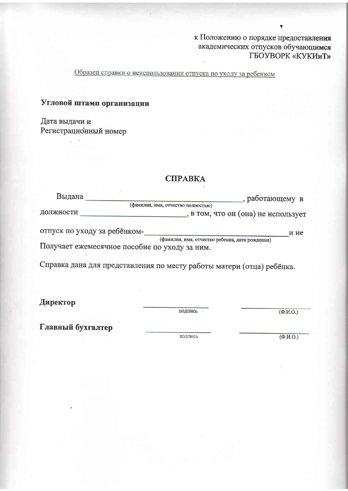к Положению о порядке предоставления академических отпусков обучающимся ГБОУВОРК «КУКИиТ»

Образец справки о неиспользовании отпуска по уходу за ребенком

## Угловой штамп организации

Дата выдачи и Регистрационный номер

## СПРАВКА

| Выдана                                        | , работающему в                                 |      |
|-----------------------------------------------|-------------------------------------------------|------|
|                                               | (фамилия, имя, отчество полностью)              |      |
| должности                                     | , в том, что он (она) не использует             |      |
| отпуск по уходу за ребёнком-                  |                                                 | и не |
|                                               | (фамилия, имя, отчество ребенка, дата рождения) |      |
| Получает ежемесячное пособие по уходу за ним. |                                                 |      |

Справка дана для представления по месту работы матери (отца) ребёнка.

Директор

подпись

 $\overline{(\Phi_{\cdot}M_{\cdot}O_{\cdot})}$ 

Главный бухгалтер

подпись

 $\overline{(\Phi.M.O.)}$